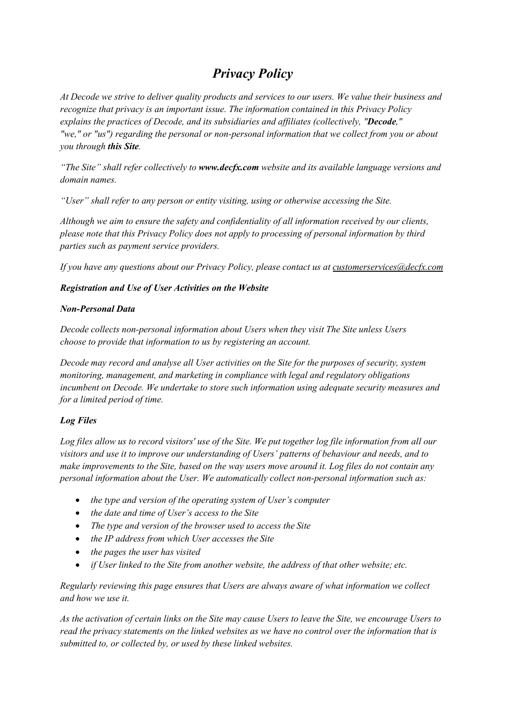# *Privacy Policy*

At Decode we strive to deliver quality products and services to our users. We value their business and *recognize that privacy is an important issue. The information contained in this Privacy Policy explains the practices of Decode, and its subsidiaries and af iliates (collectively, "Decode," "we," or "us") regarding the personal or non-personal information that we collect from you or about you through this Site.*

*"The Site" shall refer collectively to [www.decfx.com](http://www.decfx.com/) website and its available language versions and domain names.*

*"User" shall refer to any person or entity visiting, using or otherwise accessing the Site.*

*Although we aim to ensure the safety and confidentiality of all information received by our clients, please note that this Privacy Policy does not apply to processing of personal information by third parties such as payment service providers.*

*If you have any questions about our Privacy Policy, please contactus at [customerservices@decfx.com](mailto:support@superforex.com)*

## *Registration and Use of User Activities on the Website*

#### *Non-Personal Data*

*Decode collects non-personal information about Users when they visit The Site unless Users choose to provide that information to usby registering an account.*

*Decode may record and analyse all User activities on the Site for the purposes of security, system monitoring, management, and marketing in compliance with legal and regulatory obligations incumbent on Decode. We undertake to store such information using adequate security measures and for a limited period of time.*

# *Log Files*

Log files allow us to record visitors' use of the Site. We put together log file information from all our *visitors and use it to improve our understanding of Users' patterns of behaviour and needs, and to* make improvements to the Site, based on the way users move around it. Log files do not contain any *personal information about the User. We automatically collect non-personal information such as:*

- *the type and version of the operating system of User's computer*
- *the date and time of User's access to the Site*
- *The type and version of the browser used to access the Site*
- *the IP address from which User accesses the Site*
- *the pages the user has visited*
- 

• if User linked to the Site from another website, the address of that other website; etc.<br>Regularly reviewing this page ensures that Users are always aware of what information we collect *and how we use it.*

As the activation of certain links on the Site may cause Users to leave the Site, we encourage Users to read the privacy statements on the linked websites as we have no control over the information that is *submitted to, or collected by, or used by these linked websites.*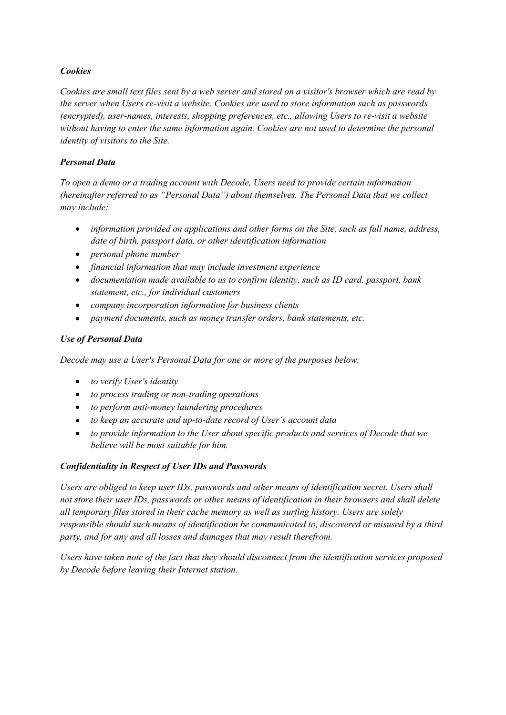#### *Cookies*

Cookies are small text files sent by a web server and stored on a visitor's browser which are read by *the server when Users re-visit a website. Cookies are used to store information such as passwords (encrypted), user-names, interests, shopping preferences, etc., allowing Users to re-visit a website without having to enter the same information again. Cookies are not used to determine the personal identity of visitors to the Site.*

#### *Personal Data*

*To open a demo or a trading account with Decode, Users need to provide certain information (hereinafter referred to as "Personal Data") about themselves. The Personal Data that we collect may include:*

- *information provided on applications and other forms on the Site, such as full name, address, date of birth, passport data, or other identification information*
- *personal phone number*
- *financial information that may include investment experience*
- *documentation made available to us to confirm identity, such as ID card,passport, bank statement, etc., for individual customers*
- *company incorporation information for business clients*
- *payment documents, such as money transfer orders, bank statements, etc.*

## *Use of Personal Data*

*Decode may use a User's Personal Data for one or more of the purposes below:*

- *to verify User's identity*
- *to process trading or non-trading operations*
- *to perform anti-money laundering procedures*
- *to keep an accurate and up-to-date record of User's account data*
- *to provide information to the User about specific products and services of Decode that we believe will be most suitable for him.*

#### *Confidentiality in Respect of User IDs and Passwords*

*Users are obliged to keep user IDs, passwords and other means of identification secret. Users shall not store their user IDs, passwords or other means of identification in theirbrowsers and shall delete all temporary files stored in theircache memory as well as surfing history. Users are solely responsible should such means of identification be communicated to, discovered or misused by a third party, and for any and all losses and damages that may result therefrom.*

*Users have taken note of the fact that they should disconnect from the identification services proposed by Decode before leaving their Internet station.*